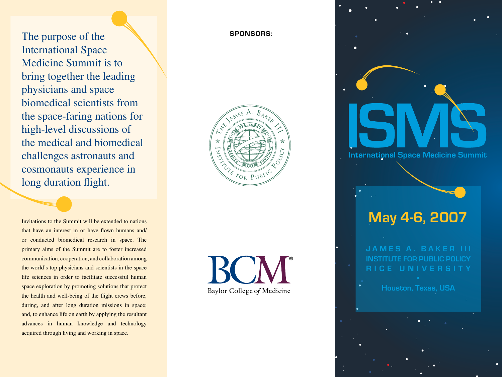The purpose of the International Space Medicine Summit is to bring together the leading physicians and space biomedical scientists from the space-faring nations for high-level discussions of the medical and biomedical challenges astronauts and cosmonauts experience in long duration flight.

Invitations to the Summit will be extended to nations that have an interest in or have flown humans and/ or conducted biomedical research in space. The primary aims of the Summit are to foster increased communication, cooperation, and collaboration among the world's top physicians and scientists in the space life sciences in order to facilitate successful human space exploration by promoting solutions that protect the health and well-being of the flight crews before, during, and after long duration missions in space; and, to enhance life on earth by applying the resultant advances in human knowledge and technology acquired through living and working in space.

**Sponsors:**



Baylor College of Medicine